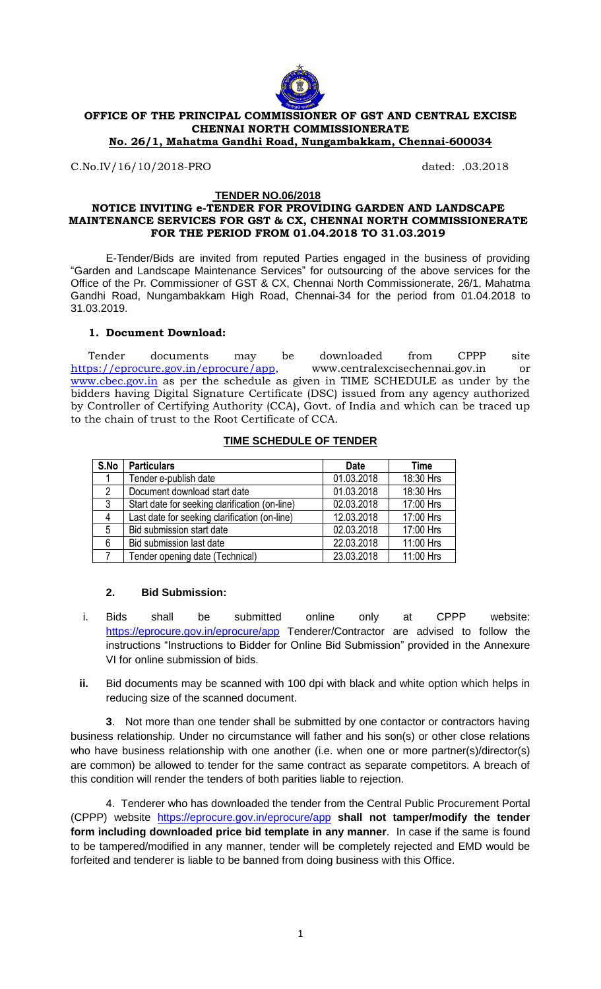

#### **OFFICE OF THE PRINCIPAL COMMISSIONER OF GST AND CENTRAL EXCISE CHENNAI NORTH COMMISSIONERATE No. 26/1, Mahatma Gandhi Road, Nungambakkam, Chennai-600034**

C.No.IV/16/10/2018-PRO dated: .03.2018

#### **TENDER NO.06/2018**

#### **NOTICE INVITING e-TENDER FOR PROVIDING GARDEN AND LANDSCAPE MAINTENANCE SERVICES FOR GST & CX, CHENNAI NORTH COMMISSIONERATE FOR THE PERIOD FROM 01.04.2018 TO 31.03.2019**

E-Tender/Bids are invited from reputed Parties engaged in the business of providing "Garden and Landscape Maintenance Services" for outsourcing of the above services for the Office of the Pr. Commissioner of GST & CX, Chennai North Commissionerate, 26/1, Mahatma Gandhi Road, Nungambakkam High Road, Chennai-34 for the period from 01.04.2018 to 31.03.2019.

#### **1. Document Download:**

Tender documents may be downloaded from CPPP site<br>ps://eprocure.gov.in/eprocure/app, www.centralexcisechennai.gov.in or [https://eprocure.gov.in/eprocure/app,](https://eprocure.gov.in/eprocure/app) [www.centralexcisechennai.gov.in](http://www.centralexcisechennai.gov.in/) or [www.cbec.gov.in](http://www.cbec.gov.in/) as per the schedule as given in TIME SCHEDULE as under by the bidders having Digital Signature Certificate (DSC) issued from any agency authorized by Controller of Certifying Authority (CCA), Govt. of India and which can be traced up to the chain of trust to the Root Certificate of CCA.

| S.No           | <b>Particulars</b>                             | <b>Date</b> | <b>Time</b> |
|----------------|------------------------------------------------|-------------|-------------|
|                | Tender e-publish date                          | 01.03.2018  | 18:30 Hrs   |
| $\overline{2}$ | Document download start date                   | 01.03.2018  | 18:30 Hrs   |
| $\mathbf{3}$   | Start date for seeking clarification (on-line) | 02.03.2018  | 17:00 Hrs   |
| $\overline{4}$ | Last date for seeking clarification (on-line)  | 12.03.2018  | 17:00 Hrs   |
| 5              | Bid submission start date                      | 02.03.2018  | 17:00 Hrs   |
| 6              | Bid submission last date                       | 22.03.2018  | 11:00 Hrs   |
| $\overline{7}$ | Tender opening date (Technical)                | 23.03.2018  | 11:00 Hrs   |

#### **TIME SCHEDULE OF TENDER**

### **2. Bid Submission:**

- i. Bids shall be submitted online only at CPPP website: <https://eprocure.gov.in/eprocure/app> Tenderer/Contractor are advised to follow the instructions "Instructions to Bidder for Online Bid Submission" provided in the Annexure VI for online submission of bids.
- **ii.** Bid documents may be scanned with 100 dpi with black and white option which helps in reducing size of the scanned document.

**3**. Not more than one tender shall be submitted by one contactor or contractors having business relationship. Under no circumstance will father and his son(s) or other close relations who have business relationship with one another (i.e. when one or more partner(s)/director(s) are common) be allowed to tender for the same contract as separate competitors. A breach of this condition will render the tenders of both parities liable to rejection.

4. Tenderer who has downloaded the tender from the Central Public Procurement Portal (CPPP) website <https://eprocure.gov.in/eprocure/app> **shall not tamper/modify the tender form including downloaded price bid template in any manner**. In case if the same is found to be tampered/modified in any manner, tender will be completely rejected and EMD would be forfeited and tenderer is liable to be banned from doing business with this Office.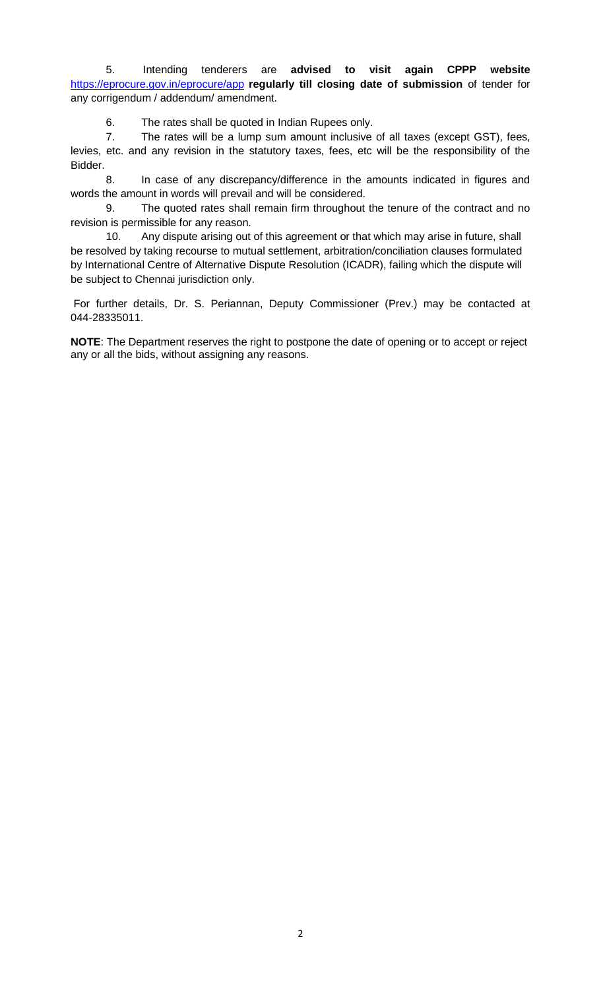5. Intending tenderers are **advised to visit again CPPP website** <https://eprocure.gov.in/eprocure/app> **regularly till closing date of submission** of tender for any corrigendum / addendum/ amendment.

6. The rates shall be quoted in Indian Rupees only.

7. The rates will be a lump sum amount inclusive of all taxes (except GST), fees, levies, etc. and any revision in the statutory taxes, fees, etc will be the responsibility of the Bidder.

8. In case of any discrepancy/difference in the amounts indicated in figures and words the amount in words will prevail and will be considered.

9. The quoted rates shall remain firm throughout the tenure of the contract and no revision is permissible for any reason.

10. Any dispute arising out of this agreement or that which may arise in future, shall be resolved by taking recourse to mutual settlement, arbitration/conciliation clauses formulated by International Centre of Alternative Dispute Resolution (ICADR), failing which the dispute will be subject to Chennai jurisdiction only.

For further details, Dr. S. Periannan, Deputy Commissioner (Prev.) may be contacted at 044-28335011.

**NOTE**: The Department reserves the right to postpone the date of opening or to accept or reject any or all the bids, without assigning any reasons.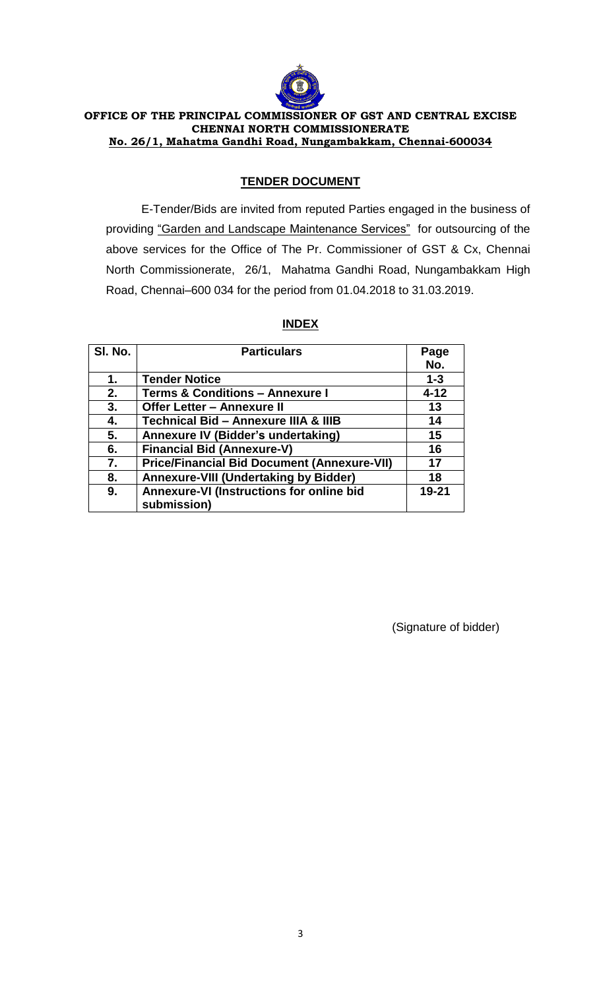

## **OFFICE OF THE PRINCIPAL COMMISSIONER OF GST AND CENTRAL EXCISE CHENNAI NORTH COMMISSIONERATE No. 26/1, Mahatma Gandhi Road, Nungambakkam, Chennai-600034**

# **TENDER DOCUMENT**

E-Tender/Bids are invited from reputed Parties engaged in the business of providing "Garden and Landscape Maintenance Services" for outsourcing of the above services for the Office of The Pr. Commissioner of GST & Cx, Chennai North Commissionerate, 26/1, Mahatma Gandhi Road, Nungambakkam High Road, Chennai–600 034 for the period from 01.04.2018 to 31.03.2019.

| SI. No. | <b>Particulars</b>                                 | Page      |
|---------|----------------------------------------------------|-----------|
|         |                                                    | No.       |
| 1.      | <b>Tender Notice</b>                               | $1 - 3$   |
| 2.      | <b>Terms &amp; Conditions - Annexure I</b>         | $4 - 12$  |
| 3.      | <b>Offer Letter - Annexure II</b>                  | 13        |
| 4.      | <b>Technical Bid - Annexure IIIA &amp; IIIB</b>    | 14        |
| 5.      | Annexure IV (Bidder's undertaking)                 | 15        |
| 6.      | <b>Financial Bid (Annexure-V)</b>                  | 16        |
| 7.      | <b>Price/Financial Bid Document (Annexure-VII)</b> | 17        |
| 8.      | <b>Annexure-VIII (Undertaking by Bidder)</b>       | 18        |
| 9.      | Annexure-VI (Instructions for online bid           | $19 - 21$ |
|         | submission)                                        |           |

# **INDEX**

(Signature of bidder)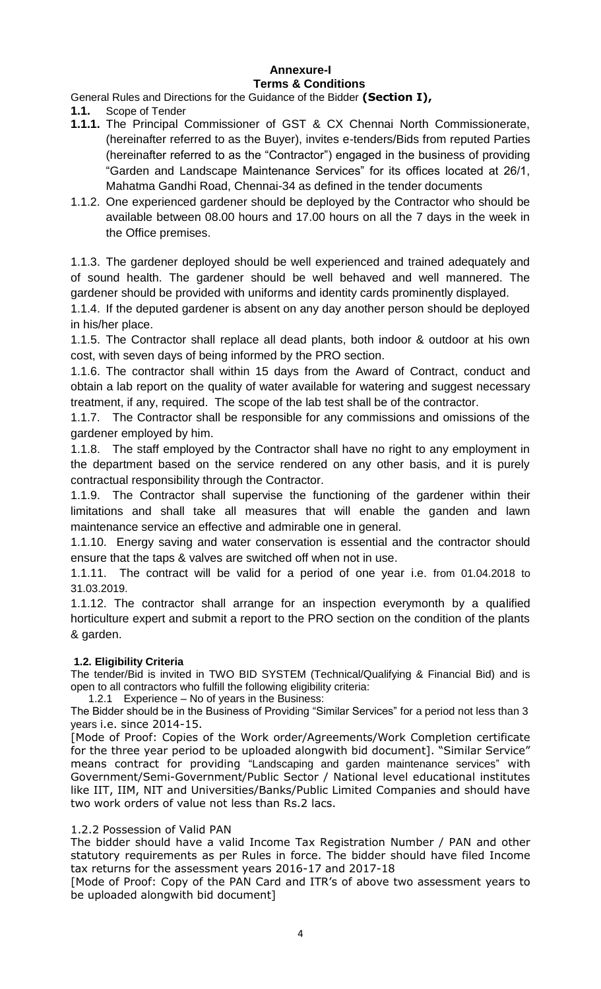### **Annexure-I Terms & Conditions**

General Rules and Directions for the Guidance of the Bidder **(Section I),**

- **1.1.** Scope of Tender
- **1.1.1.** The Principal Commissioner of GST & CX Chennai North Commissionerate, (hereinafter referred to as the Buyer), invites e-tenders/Bids from reputed Parties (hereinafter referred to as the "Contractor") engaged in the business of providing "Garden and Landscape Maintenance Services" for its offices located at 26/1, Mahatma Gandhi Road, Chennai-34 as defined in the tender documents
- 1.1.2. One experienced gardener should be deployed by the Contractor who should be available between 08.00 hours and 17.00 hours on all the 7 days in the week in the Office premises.

1.1.3. The gardener deployed should be well experienced and trained adequately and of sound health. The gardener should be well behaved and well mannered. The gardener should be provided with uniforms and identity cards prominently displayed.

1.1.4. If the deputed gardener is absent on any day another person should be deployed in his/her place.

1.1.5. The Contractor shall replace all dead plants, both indoor & outdoor at his own cost, with seven days of being informed by the PRO section.

1.1.6. The contractor shall within 15 days from the Award of Contract, conduct and obtain a lab report on the quality of water available for watering and suggest necessary treatment, if any, required. The scope of the lab test shall be of the contractor.

1.1.7. The Contractor shall be responsible for any commissions and omissions of the gardener employed by him.

1.1.8. The staff employed by the Contractor shall have no right to any employment in the department based on the service rendered on any other basis, and it is purely contractual responsibility through the Contractor.

1.1.9. The Contractor shall supervise the functioning of the gardener within their limitations and shall take all measures that will enable the ganden and lawn maintenance service an effective and admirable one in general.

1.1.10. Energy saving and water conservation is essential and the contractor should ensure that the taps & valves are switched off when not in use.

1.1.11. The contract will be valid for a period of one year i.e. from 01.04.2018 to 31.03.2019.

1.1.12. The contractor shall arrange for an inspection everymonth by a qualified horticulture expert and submit a report to the PRO section on the condition of the plants & garden.

# **1.2. Eligibility Criteria**

The tender/Bid is invited in TWO BID SYSTEM (Technical/Qualifying & Financial Bid) and is open to all contractors who fulfill the following eligibility criteria:

1.2.1 Experience – No of years in the Business:

The Bidder should be in the Business of Providing "Similar Services" for a period not less than 3 years i.e. since 2014-15.

[Mode of Proof: Copies of the Work order/Agreements/Work Completion certificate for the three year period to be uploaded alongwith bid document]. "Similar Service" means contract for providing "Landscaping and garden maintenance services" with Government/Semi-Government/Public Sector / National level educational institutes like IIT, IIM, NIT and Universities/Banks/Public Limited Companies and should have two work orders of value not less than Rs.2 lacs.

### 1.2.2 Possession of Valid PAN

The bidder should have a valid Income Tax Registration Number / PAN and other statutory requirements as per Rules in force. The bidder should have filed Income tax returns for the assessment years 2016-17 and 2017-18

[Mode of Proof: Copy of the PAN Card and ITR's of above two assessment years to be uploaded alongwith bid document]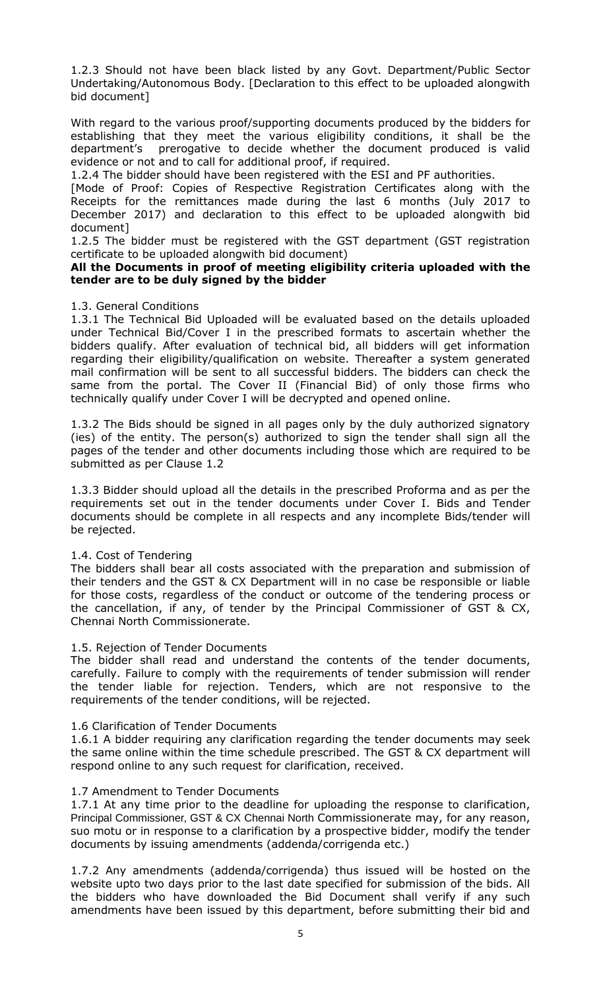1.2.3 Should not have been black listed by any Govt. Department/Public Sector Undertaking/Autonomous Body. [Declaration to this effect to be uploaded alongwith bid document]

With regard to the various proof/supporting documents produced by the bidders for establishing that they meet the various eligibility conditions, it shall be the department's prerogative to decide whether the document produced is valid evidence or not and to call for additional proof, if required.

1.2.4 The bidder should have been registered with the ESI and PF authorities.

[Mode of Proof: Copies of Respective Registration Certificates along with the Receipts for the remittances made during the last 6 months (July 2017 to December 2017) and declaration to this effect to be uploaded alongwith bid document]

1.2.5 The bidder must be registered with the GST department (GST registration certificate to be uploaded alongwith bid document)

### **All the Documents in proof of meeting eligibility criteria uploaded with the tender are to be duly signed by the bidder**

### 1.3. General Conditions

1.3.1 The Technical Bid Uploaded will be evaluated based on the details uploaded under Technical Bid/Cover I in the prescribed formats to ascertain whether the bidders qualify. After evaluation of technical bid, all bidders will get information regarding their eligibility/qualification on website. Thereafter a system generated mail confirmation will be sent to all successful bidders. The bidders can check the same from the portal. The Cover II (Financial Bid) of only those firms who technically qualify under Cover I will be decrypted and opened online.

1.3.2 The Bids should be signed in all pages only by the duly authorized signatory (ies) of the entity. The person(s) authorized to sign the tender shall sign all the pages of the tender and other documents including those which are required to be submitted as per Clause 1.2

1.3.3 Bidder should upload all the details in the prescribed Proforma and as per the requirements set out in the tender documents under Cover I. Bids and Tender documents should be complete in all respects and any incomplete Bids/tender will be rejected.

### 1.4. Cost of Tendering

The bidders shall bear all costs associated with the preparation and submission of their tenders and the GST & CX Department will in no case be responsible or liable for those costs, regardless of the conduct or outcome of the tendering process or the cancellation, if any, of tender by the Principal Commissioner of GST & CX, Chennai North Commissionerate.

### 1.5. Rejection of Tender Documents

The bidder shall read and understand the contents of the tender documents, carefully. Failure to comply with the requirements of tender submission will render the tender liable for rejection. Tenders, which are not responsive to the requirements of the tender conditions, will be rejected.

### 1.6 Clarification of Tender Documents

1.6.1 A bidder requiring any clarification regarding the tender documents may seek the same online within the time schedule prescribed. The GST & CX department will respond online to any such request for clarification, received.

### 1.7 Amendment to Tender Documents

1.7.1 At any time prior to the deadline for uploading the response to clarification, Principal Commissioner, GST & CX Chennai North Commissionerate may, for any reason, suo motu or in response to a clarification by a prospective bidder, modify the tender documents by issuing amendments (addenda/corrigenda etc.)

1.7.2 Any amendments (addenda/corrigenda) thus issued will be hosted on the website upto two days prior to the last date specified for submission of the bids. All the bidders who have downloaded the Bid Document shall verify if any such amendments have been issued by this department, before submitting their bid and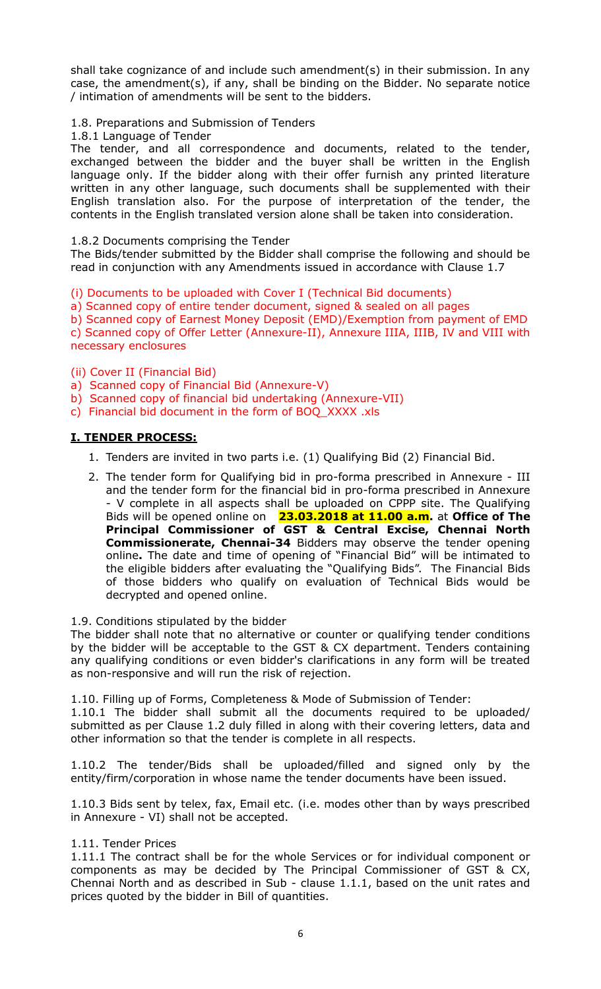shall take cognizance of and include such amendment(s) in their submission. In any case, the amendment(s), if any, shall be binding on the Bidder. No separate notice / intimation of amendments will be sent to the bidders.

1.8. Preparations and Submission of Tenders

1.8.1 Language of Tender

The tender, and all correspondence and documents, related to the tender, exchanged between the bidder and the buyer shall be written in the English language only. If the bidder along with their offer furnish any printed literature written in any other language, such documents shall be supplemented with their English translation also. For the purpose of interpretation of the tender, the contents in the English translated version alone shall be taken into consideration.

1.8.2 Documents comprising the Tender

The Bids/tender submitted by the Bidder shall comprise the following and should be read in conjunction with any Amendments issued in accordance with Clause 1.7

(i) Documents to be uploaded with Cover I (Technical Bid documents)

a) Scanned copy of entire tender document, signed & sealed on all pages

b) Scanned copy of Earnest Money Deposit (EMD)/Exemption from payment of EMD

c) Scanned copy of Offer Letter (Annexure-II), Annexure IIIA, IIIB, IV and VIII with necessary enclosures

(ii) Cover II (Financial Bid)

- a) Scanned copy of Financial Bid (Annexure-V)
- b) Scanned copy of financial bid undertaking (Annexure-VII)
- c) Financial bid document in the form of BOQ\_XXXX .xls

# **I. TENDER PROCESS:**

- 1. Tenders are invited in two parts i.e. (1) Qualifying Bid (2) Financial Bid.
- 2. The tender form for Qualifying bid in pro-forma prescribed in Annexure III and the tender form for the financial bid in pro-forma prescribed in Annexure - V complete in all aspects shall be uploaded on CPPP site. The Qualifying Bids will be opened online on **23.03.2018 at 11.00 a.m.** at **Office of The Principal Commissioner of GST & Central Excise, Chennai North Commissionerate, Chennai-34** Bidders may observe the tender opening online**.** The date and time of opening of "Financial Bid" will be intimated to the eligible bidders after evaluating the "Qualifying Bids". The Financial Bids of those bidders who qualify on evaluation of Technical Bids would be decrypted and opened online.

### 1.9. Conditions stipulated by the bidder

The bidder shall note that no alternative or counter or qualifying tender conditions by the bidder will be acceptable to the GST & CX department. Tenders containing any qualifying conditions or even bidder's clarifications in any form will be treated as non-responsive and will run the risk of rejection.

1.10. Filling up of Forms, Completeness & Mode of Submission of Tender:

1.10.1 The bidder shall submit all the documents required to be uploaded/ submitted as per Clause 1.2 duly filled in along with their covering letters, data and other information so that the tender is complete in all respects.

1.10.2 The tender/Bids shall be uploaded/filled and signed only by the entity/firm/corporation in whose name the tender documents have been issued.

1.10.3 Bids sent by telex, fax, Email etc. (i.e. modes other than by ways prescribed in Annexure - VI) shall not be accepted.

### 1.11. Tender Prices

1.11.1 The contract shall be for the whole Services or for individual component or components as may be decided by The Principal Commissioner of GST & CX, Chennai North and as described in Sub - clause 1.1.1, based on the unit rates and prices quoted by the bidder in Bill of quantities.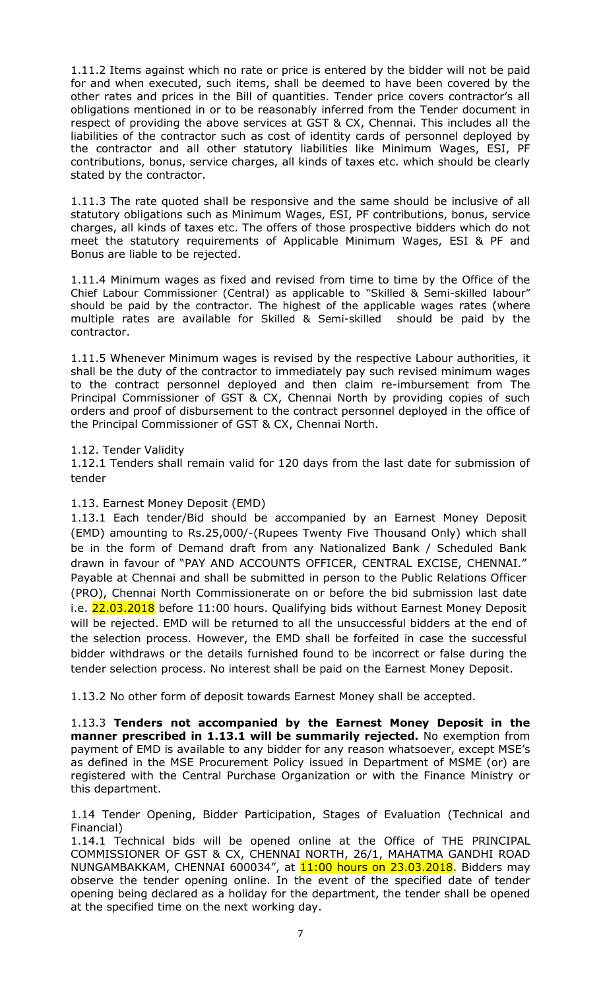1.11.2 Items against which no rate or price is entered by the bidder will not be paid for and when executed, such items, shall be deemed to have been covered by the other rates and prices in the Bill of quantities. Tender price covers contractor's all obligations mentioned in or to be reasonably inferred from the Tender document in respect of providing the above services at GST & CX, Chennai. This includes all the liabilities of the contractor such as cost of identity cards of personnel deployed by the contractor and all other statutory liabilities like Minimum Wages, ESI, PF contributions, bonus, service charges, all kinds of taxes etc. which should be clearly stated by the contractor.

1.11.3 The rate quoted shall be responsive and the same should be inclusive of all statutory obligations such as Minimum Wages, ESI, PF contributions, bonus, service charges, all kinds of taxes etc. The offers of those prospective bidders which do not meet the statutory requirements of Applicable Minimum Wages, ESI & PF and Bonus are liable to be rejected.

1.11.4 Minimum wages as fixed and revised from time to time by the Office of the Chief Labour Commissioner (Central) as applicable to "Skilled & Semi-skilled labour" should be paid by the contractor. The highest of the applicable wages rates (where multiple rates are available for Skilled & Semi-skilled should be paid by the contractor.

1.11.5 Whenever Minimum wages is revised by the respective Labour authorities, it shall be the duty of the contractor to immediately pay such revised minimum wages to the contract personnel deployed and then claim re-imbursement from The Principal Commissioner of GST & CX, Chennai North by providing copies of such orders and proof of disbursement to the contract personnel deployed in the office of the Principal Commissioner of GST & CX, Chennai North.

## 1.12. Tender Validity

1.12.1 Tenders shall remain valid for 120 days from the last date for submission of tender

# 1.13. Earnest Money Deposit (EMD)

1.13.1 Each tender/Bid should be accompanied by an Earnest Money Deposit (EMD) amounting to Rs.25,000/-(Rupees Twenty Five Thousand Only) which shall be in the form of Demand draft from any Nationalized Bank / Scheduled Bank drawn in favour of "PAY AND ACCOUNTS OFFICER, CENTRAL EXCISE, CHENNAI." Payable at Chennai and shall be submitted in person to the Public Relations Officer (PRO), Chennai North Commissionerate on or before the bid submission last date i.e. 22.03.2018 before 11:00 hours. Qualifying bids without Earnest Money Deposit will be rejected. EMD will be returned to all the unsuccessful bidders at the end of the selection process. However, the EMD shall be forfeited in case the successful bidder withdraws or the details furnished found to be incorrect or false during the tender selection process. No interest shall be paid on the Earnest Money Deposit.

1.13.2 No other form of deposit towards Earnest Money shall be accepted.

1.13.3 **Tenders not accompanied by the Earnest Money Deposit in the manner prescribed in 1.13.1 will be summarily rejected.** No exemption from payment of EMD is available to any bidder for any reason whatsoever, except MSE's as defined in the MSE Procurement Policy issued in Department of MSME (or) are registered with the Central Purchase Organization or with the Finance Ministry or this department.

1.14 Tender Opening, Bidder Participation, Stages of Evaluation (Technical and Financial)

1.14.1 Technical bids will be opened online at the Office of THE PRINCIPAL COMMISSIONER OF GST & CX, CHENNAI NORTH, 26/1, MAHATMA GANDHI ROAD NUNGAMBAKKAM, CHENNAI 600034", at 11:00 hours on 23.03.2018. Bidders may observe the tender opening online. In the event of the specified date of tender opening being declared as a holiday for the department, the tender shall be opened at the specified time on the next working day.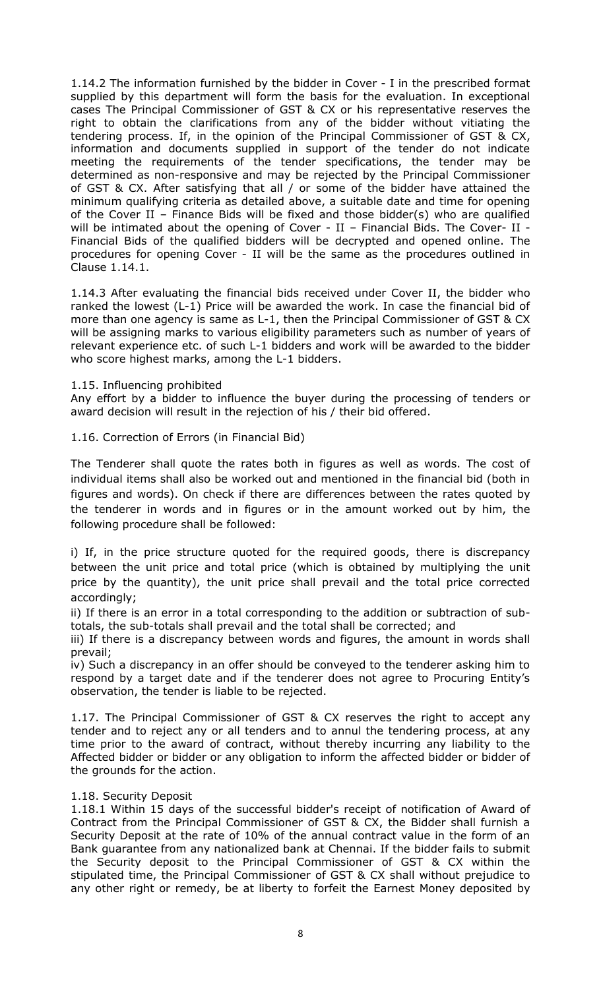1.14.2 The information furnished by the bidder in Cover - I in the prescribed format supplied by this department will form the basis for the evaluation. In exceptional cases The Principal Commissioner of GST & CX or his representative reserves the right to obtain the clarifications from any of the bidder without vitiating the tendering process. If, in the opinion of the Principal Commissioner of GST & CX, information and documents supplied in support of the tender do not indicate meeting the requirements of the tender specifications, the tender may be determined as non-responsive and may be rejected by the Principal Commissioner of GST & CX. After satisfying that all / or some of the bidder have attained the minimum qualifying criteria as detailed above, a suitable date and time for opening of the Cover II – Finance Bids will be fixed and those bidder(s) who are qualified will be intimated about the opening of Cover - II - Financial Bids. The Cover- II -Financial Bids of the qualified bidders will be decrypted and opened online. The procedures for opening Cover - II will be the same as the procedures outlined in Clause 1.14.1.

1.14.3 After evaluating the financial bids received under Cover II, the bidder who ranked the lowest (L-1) Price will be awarded the work. In case the financial bid of more than one agency is same as L-1, then the Principal Commissioner of GST & CX will be assigning marks to various eligibility parameters such as number of years of relevant experience etc. of such L-1 bidders and work will be awarded to the bidder who score highest marks, among the L-1 bidders.

#### 1.15. Influencing prohibited

Any effort by a bidder to influence the buyer during the processing of tenders or award decision will result in the rejection of his / their bid offered.

1.16. Correction of Errors (in Financial Bid)

The Tenderer shall quote the rates both in figures as well as words. The cost of individual items shall also be worked out and mentioned in the financial bid (both in figures and words). On check if there are differences between the rates quoted by the tenderer in words and in figures or in the amount worked out by him, the following procedure shall be followed:

i) If, in the price structure quoted for the required goods, there is discrepancy between the unit price and total price (which is obtained by multiplying the unit price by the quantity), the unit price shall prevail and the total price corrected accordingly;

ii) If there is an error in a total corresponding to the addition or subtraction of subtotals, the sub-totals shall prevail and the total shall be corrected; and

iii) If there is a discrepancy between words and figures, the amount in words shall prevail;

iv) Such a discrepancy in an offer should be conveyed to the tenderer asking him to respond by a target date and if the tenderer does not agree to Procuring Entity's observation, the tender is liable to be rejected.

1.17. The Principal Commissioner of GST & CX reserves the right to accept any tender and to reject any or all tenders and to annul the tendering process, at any time prior to the award of contract, without thereby incurring any liability to the Affected bidder or bidder or any obligation to inform the affected bidder or bidder of the grounds for the action.

### 1.18. Security Deposit

1.18.1 Within 15 days of the successful bidder's receipt of notification of Award of Contract from the Principal Commissioner of GST & CX, the Bidder shall furnish a Security Deposit at the rate of 10% of the annual contract value in the form of an Bank guarantee from any nationalized bank at Chennai. If the bidder fails to submit the Security deposit to the Principal Commissioner of GST & CX within the stipulated time, the Principal Commissioner of GST & CX shall without prejudice to any other right or remedy, be at liberty to forfeit the Earnest Money deposited by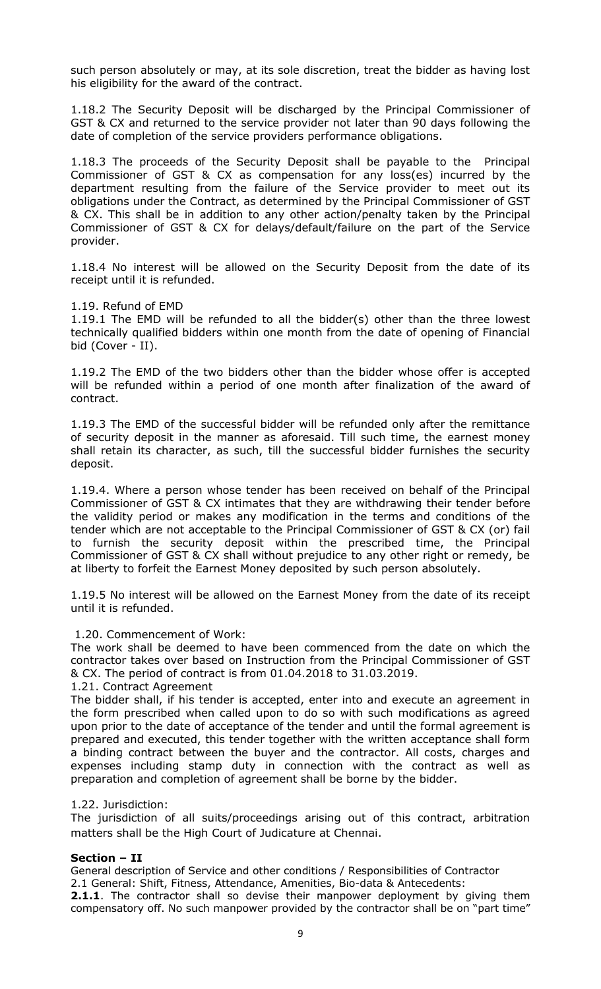such person absolutely or may, at its sole discretion, treat the bidder as having lost his eligibility for the award of the contract.

1.18.2 The Security Deposit will be discharged by the Principal Commissioner of GST & CX and returned to the service provider not later than 90 days following the date of completion of the service providers performance obligations.

1.18.3 The proceeds of the Security Deposit shall be payable to the Principal Commissioner of GST & CX as compensation for any loss(es) incurred by the department resulting from the failure of the Service provider to meet out its obligations under the Contract, as determined by the Principal Commissioner of GST & CX. This shall be in addition to any other action/penalty taken by the Principal Commissioner of GST & CX for delays/default/failure on the part of the Service provider.

1.18.4 No interest will be allowed on the Security Deposit from the date of its receipt until it is refunded.

#### 1.19. Refund of EMD

1.19.1 The EMD will be refunded to all the bidder(s) other than the three lowest technically qualified bidders within one month from the date of opening of Financial bid (Cover - II).

1.19.2 The EMD of the two bidders other than the bidder whose offer is accepted will be refunded within a period of one month after finalization of the award of contract.

1.19.3 The EMD of the successful bidder will be refunded only after the remittance of security deposit in the manner as aforesaid. Till such time, the earnest money shall retain its character, as such, till the successful bidder furnishes the security deposit.

1.19.4. Where a person whose tender has been received on behalf of the Principal Commissioner of GST & CX intimates that they are withdrawing their tender before the validity period or makes any modification in the terms and conditions of the tender which are not acceptable to the Principal Commissioner of GST & CX (or) fail to furnish the security deposit within the prescribed time, the Principal Commissioner of GST & CX shall without prejudice to any other right or remedy, be at liberty to forfeit the Earnest Money deposited by such person absolutely.

1.19.5 No interest will be allowed on the Earnest Money from the date of its receipt until it is refunded.

### 1.20. Commencement of Work:

The work shall be deemed to have been commenced from the date on which the contractor takes over based on Instruction from the Principal Commissioner of GST & CX. The period of contract is from 01.04.2018 to 31.03.2019.

1.21. Contract Agreement

The bidder shall, if his tender is accepted, enter into and execute an agreement in the form prescribed when called upon to do so with such modifications as agreed upon prior to the date of acceptance of the tender and until the formal agreement is prepared and executed, this tender together with the written acceptance shall form a binding contract between the buyer and the contractor. All costs, charges and expenses including stamp duty in connection with the contract as well as preparation and completion of agreement shall be borne by the bidder.

### 1.22. Jurisdiction:

The jurisdiction of all suits/proceedings arising out of this contract, arbitration matters shall be the High Court of Judicature at Chennai.

### **Section – II**

General description of Service and other conditions / Responsibilities of Contractor 2.1 General: Shift, Fitness, Attendance, Amenities, Bio-data & Antecedents:

**2.1.1**. The contractor shall so devise their manpower deployment by giving them compensatory off. No such manpower provided by the contractor shall be on "part time"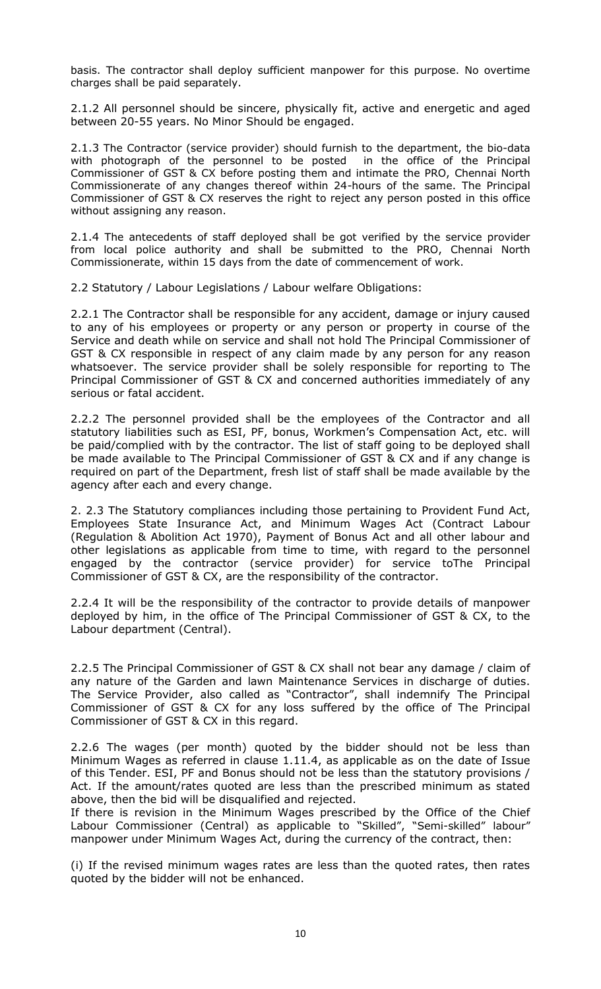basis. The contractor shall deploy sufficient manpower for this purpose. No overtime charges shall be paid separately.

2.1.2 All personnel should be sincere, physically fit, active and energetic and aged between 20-55 years. No Minor Should be engaged.

2.1.3 The Contractor (service provider) should furnish to the department, the bio-data with photograph of the personnel to be posted in the office of the Principal Commissioner of GST & CX before posting them and intimate the PRO, Chennai North Commissionerate of any changes thereof within 24-hours of the same. The Principal Commissioner of GST & CX reserves the right to reject any person posted in this office without assigning any reason.

2.1.4 The antecedents of staff deployed shall be got verified by the service provider from local police authority and shall be submitted to the PRO, Chennai North Commissionerate, within 15 days from the date of commencement of work.

2.2 Statutory / Labour Legislations / Labour welfare Obligations:

2.2.1 The Contractor shall be responsible for any accident, damage or injury caused to any of his employees or property or any person or property in course of the Service and death while on service and shall not hold The Principal Commissioner of GST & CX responsible in respect of any claim made by any person for any reason whatsoever. The service provider shall be solely responsible for reporting to The Principal Commissioner of GST & CX and concerned authorities immediately of any serious or fatal accident.

2.2.2 The personnel provided shall be the employees of the Contractor and all statutory liabilities such as ESI, PF, bonus, Workmen's Compensation Act, etc. will be paid/complied with by the contractor. The list of staff going to be deployed shall be made available to The Principal Commissioner of GST & CX and if any change is required on part of the Department, fresh list of staff shall be made available by the agency after each and every change.

2. 2.3 The Statutory compliances including those pertaining to Provident Fund Act, Employees State Insurance Act, and Minimum Wages Act (Contract Labour (Regulation & Abolition Act 1970), Payment of Bonus Act and all other labour and other legislations as applicable from time to time, with regard to the personnel engaged by the contractor (service provider) for service toThe Principal Commissioner of GST & CX, are the responsibility of the contractor.

2.2.4 It will be the responsibility of the contractor to provide details of manpower deployed by him, in the office of The Principal Commissioner of GST & CX, to the Labour department (Central).

2.2.5 The Principal Commissioner of GST & CX shall not bear any damage / claim of any nature of the Garden and lawn Maintenance Services in discharge of duties. The Service Provider, also called as "Contractor", shall indemnify The Principal Commissioner of GST & CX for any loss suffered by the office of The Principal Commissioner of GST & CX in this regard.

2.2.6 The wages (per month) quoted by the bidder should not be less than Minimum Wages as referred in clause 1.11.4, as applicable as on the date of Issue of this Tender. ESI, PF and Bonus should not be less than the statutory provisions / Act. If the amount/rates quoted are less than the prescribed minimum as stated above, then the bid will be disqualified and rejected.

If there is revision in the Minimum Wages prescribed by the Office of the Chief Labour Commissioner (Central) as applicable to "Skilled", "Semi-skilled" labour" manpower under Minimum Wages Act, during the currency of the contract, then:

(i) If the revised minimum wages rates are less than the quoted rates, then rates quoted by the bidder will not be enhanced.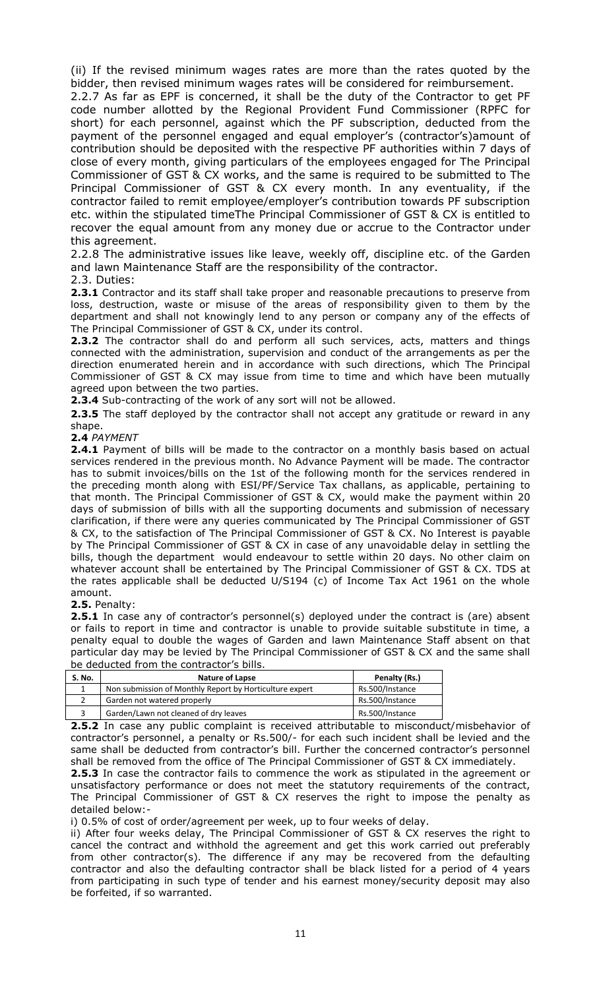(ii) If the revised minimum wages rates are more than the rates quoted by the bidder, then revised minimum wages rates will be considered for reimbursement.

2.2.7 As far as EPF is concerned, it shall be the duty of the Contractor to get PF code number allotted by the Regional Provident Fund Commissioner (RPFC for short) for each personnel, against which the PF subscription, deducted from the payment of the personnel engaged and equal employer's (contractor's)amount of contribution should be deposited with the respective PF authorities within 7 days of close of every month, giving particulars of the employees engaged for The Principal Commissioner of GST & CX works, and the same is required to be submitted to The Principal Commissioner of GST & CX every month. In any eventuality, if the contractor failed to remit employee/employer's contribution towards PF subscription etc. within the stipulated timeThe Principal Commissioner of GST & CX is entitled to recover the equal amount from any money due or accrue to the Contractor under this agreement.

2.2.8 The administrative issues like leave, weekly off, discipline etc. of the Garden and lawn Maintenance Staff are the responsibility of the contractor.

### 2.3. Duties:

**2.3.1** Contractor and its staff shall take proper and reasonable precautions to preserve from loss, destruction, waste or misuse of the areas of responsibility given to them by the department and shall not knowingly lend to any person or company any of the effects of The Principal Commissioner of GST & CX, under its control.

2.3.2 The contractor shall do and perform all such services, acts, matters and things connected with the administration, supervision and conduct of the arrangements as per the direction enumerated herein and in accordance with such directions, which The Principal Commissioner of GST & CX may issue from time to time and which have been mutually agreed upon between the two parties.

**2.3.4** Sub-contracting of the work of any sort will not be allowed.

**2.3.5** The staff deployed by the contractor shall not accept any gratitude or reward in any shape.

#### **2.4** *PAYMENT*

2.4.1 Payment of bills will be made to the contractor on a monthly basis based on actual services rendered in the previous month. No Advance Payment will be made. The contractor has to submit invoices/bills on the 1st of the following month for the services rendered in the preceding month along with ESI/PF/Service Tax challans, as applicable, pertaining to that month. The Principal Commissioner of GST & CX, would make the payment within 20 days of submission of bills with all the supporting documents and submission of necessary clarification, if there were any queries communicated by The Principal Commissioner of GST & CX, to the satisfaction of The Principal Commissioner of GST & CX. No Interest is payable by The Principal Commissioner of GST & CX in case of any unavoidable delay in settling the bills, though the department would endeavour to settle within 20 days. No other claim on whatever account shall be entertained by The Principal Commissioner of GST & CX. TDS at the rates applicable shall be deducted U/S194 (c) of Income Tax Act 1961 on the whole amount.

#### **2.5.** Penalty:

**2.5.1** In case any of contractor's personnel(s) deployed under the contract is (are) absent or fails to report in time and contractor is unable to provide suitable substitute in time, a penalty equal to double the wages of Garden and lawn Maintenance Staff absent on that particular day may be levied by The Principal Commissioner of GST & CX and the same shall be deducted from the contractor's bills.

| S. No. | <b>Nature of Lapse</b>                                  | Penalty (Rs.)   |
|--------|---------------------------------------------------------|-----------------|
|        | Non submission of Monthly Report by Horticulture expert | Rs.500/Instance |
|        | Garden not watered properly                             | Rs.500/Instance |
|        | Garden/Lawn not cleaned of dry leaves                   | Rs.500/Instance |

**2.5.2** In case any public complaint is received attributable to misconduct/misbehavior of contractor's personnel, a penalty or Rs.500/- for each such incident shall be levied and the same shall be deducted from contractor's bill. Further the concerned contractor's personnel shall be removed from the office of The Principal Commissioner of GST & CX immediately.

**2.5.3** In case the contractor fails to commence the work as stipulated in the agreement or unsatisfactory performance or does not meet the statutory requirements of the contract, The Principal Commissioner of GST & CX reserves the right to impose the penalty as detailed below:-

i) 0.5% of cost of order/agreement per week, up to four weeks of delay.

ii) After four weeks delay, The Principal Commissioner of GST & CX reserves the right to cancel the contract and withhold the agreement and get this work carried out preferably from other contractor(s). The difference if any may be recovered from the defaulting contractor and also the defaulting contractor shall be black listed for a period of 4 years from participating in such type of tender and his earnest money/security deposit may also be forfeited, if so warranted.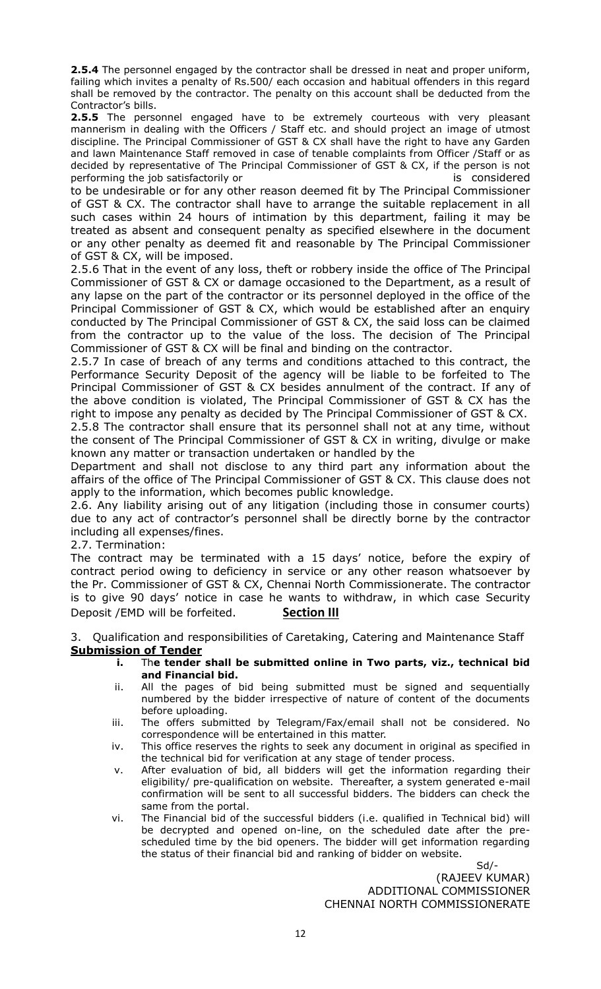**2.5.4** The personnel engaged by the contractor shall be dressed in neat and proper uniform, failing which invites a penalty of Rs.500/ each occasion and habitual offenders in this regard shall be removed by the contractor. The penalty on this account shall be deducted from the Contractor's bills.

**2.5.5** The personnel engaged have to be extremely courteous with very pleasant mannerism in dealing with the Officers / Staff etc. and should project an image of utmost discipline. The Principal Commissioner of GST & CX shall have the right to have any Garden and lawn Maintenance Staff removed in case of tenable complaints from Officer /Staff or as decided by representative of The Principal Commissioner of GST & CX, if the person is not performing the job satisfactorily or is considered

to be undesirable or for any other reason deemed fit by The Principal Commissioner of GST & CX. The contractor shall have to arrange the suitable replacement in all such cases within 24 hours of intimation by this department, failing it may be treated as absent and consequent penalty as specified elsewhere in the document or any other penalty as deemed fit and reasonable by The Principal Commissioner of GST & CX, will be imposed.

2.5.6 That in the event of any loss, theft or robbery inside the office of The Principal Commissioner of GST & CX or damage occasioned to the Department, as a result of any lapse on the part of the contractor or its personnel deployed in the office of the Principal Commissioner of GST & CX, which would be established after an enquiry conducted by The Principal Commissioner of GST & CX, the said loss can be claimed from the contractor up to the value of the loss. The decision of The Principal Commissioner of GST & CX will be final and binding on the contractor.

2.5.7 In case of breach of any terms and conditions attached to this contract, the Performance Security Deposit of the agency will be liable to be forfeited to The Principal Commissioner of GST & CX besides annulment of the contract. If any of the above condition is violated, The Principal Commissioner of GST & CX has the right to impose any penalty as decided by The Principal Commissioner of GST & CX.

2.5.8 The contractor shall ensure that its personnel shall not at any time, without the consent of The Principal Commissioner of GST & CX in writing, divulge or make known any matter or transaction undertaken or handled by the

Department and shall not disclose to any third part any information about the affairs of the office of The Principal Commissioner of GST & CX. This clause does not apply to the information, which becomes public knowledge.

2.6. Any liability arising out of any litigation (including those in consumer courts) due to any act of contractor's personnel shall be directly borne by the contractor including all expenses/fines.

2.7. Termination:

The contract may be terminated with a 15 days' notice, before the expiry of contract period owing to deficiency in service or any other reason whatsoever by the Pr. Commissioner of GST & CX, Chennai North Commissionerate. The contractor is to give 90 days' notice in case he wants to withdraw, in which case Security Deposit /EMD will be forfeited. **Section III**

3. Qualification and responsibilities of Caretaking, Catering and Maintenance Staff **Submission of Tender**

- **i.** Th**e tender shall be submitted online in Two parts, viz., technical bid and Financial bid.**
- ii. All the pages of bid being submitted must be signed and sequentially numbered by the bidder irrespective of nature of content of the documents before uploading.
- iii. The offers submitted by Telegram/Fax/email shall not be considered. No correspondence will be entertained in this matter.
- iv. This office reserves the rights to seek any document in original as specified in the technical bid for verification at any stage of tender process.
- v. After evaluation of bid, all bidders will get the information regarding their eligibility/ pre-qualification on website. Thereafter, a system generated e-mail confirmation will be sent to all successful bidders. The bidders can check the same from the portal.
- vi. The Financial bid of the successful bidders (i.e. qualified in Technical bid) will be decrypted and opened on-line, on the scheduled date after the prescheduled time by the bid openers. The bidder will get information regarding the status of their financial bid and ranking of bidder on website.

 Sd/- (RAJEEV KUMAR) ADDITIONAL COMMISSIONER CHENNAI NORTH COMMISSIONERATE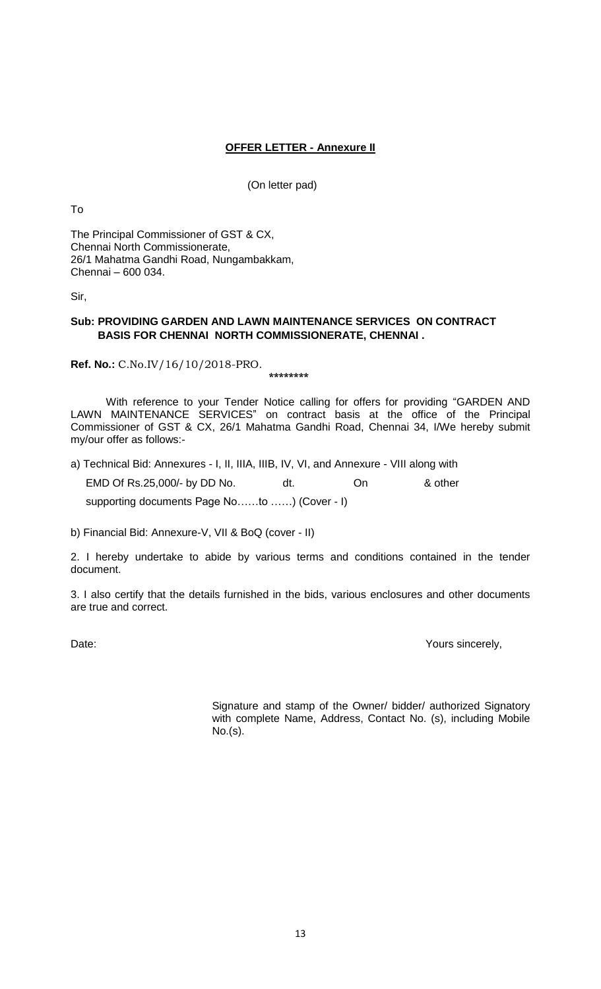## **OFFER LETTER - Annexure II**

(On letter pad)

To

The Principal Commissioner of GST & CX, Chennai North Commissionerate, 26/1 Mahatma Gandhi Road, Nungambakkam, Chennai – 600 034.

Sir,

### **Sub: PROVIDING GARDEN AND LAWN MAINTENANCE SERVICES ON CONTRACT BASIS FOR CHENNAI NORTH COMMISSIONERATE, CHENNAI .**

**Ref. No.:** C.No.IV/16/10/2018-PRO.

 **\*\*\*\*\*\*\*\***

With reference to your Tender Notice calling for offers for providing "GARDEN AND LAWN MAINTENANCE SERVICES" on contract basis at the office of the Principal Commissioner of GST & CX, 26/1 Mahatma Gandhi Road, Chennai 34, I/We hereby submit my/our offer as follows:-

a) Technical Bid: Annexures - I, II, IIIA, IIIB, IV, VI, and Annexure - VIII along with EMD Of Rs.25,000/- by DD No. dt. On & other supporting documents Page No……to ……) (Cover - I)

b) Financial Bid: Annexure-V, VII & BoQ (cover - II)

2. I hereby undertake to abide by various terms and conditions contained in the tender document.

3. I also certify that the details furnished in the bids, various enclosures and other documents are true and correct.

Date:  $\blacksquare$ 

Signature and stamp of the Owner/ bidder/ authorized Signatory with complete Name, Address, Contact No. (s), including Mobile No.(s).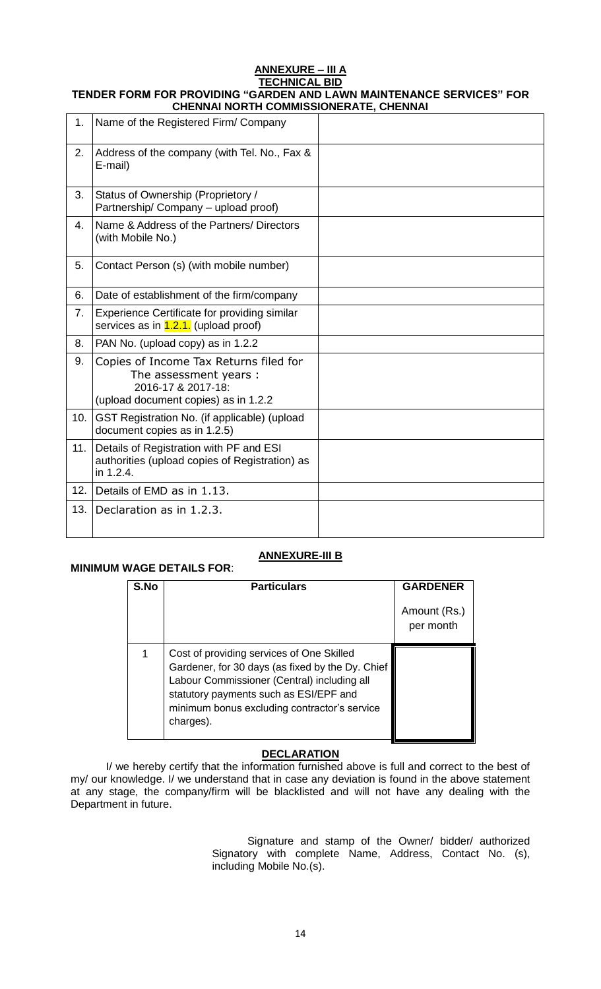#### **ANNEXURE – III A TECHNICAL BID TENDER FORM FOR PROVIDING "GARDEN AND LAWN MAINTENANCE SERVICES" FOR CHENNAI NORTH COMMISSIONERATE, CHENNAI**

| 1.  | Name of the Registered Firm/ Company                                                                                           |  |
|-----|--------------------------------------------------------------------------------------------------------------------------------|--|
| 2.  | Address of the company (with Tel. No., Fax &<br>E-mail)                                                                        |  |
| 3.  | Status of Ownership (Proprietory /<br>Partnership/ Company - upload proof)                                                     |  |
| 4.  | Name & Address of the Partners/ Directors<br>(with Mobile No.)                                                                 |  |
| 5.  | Contact Person (s) (with mobile number)                                                                                        |  |
| 6.  | Date of establishment of the firm/company                                                                                      |  |
| 7.  | Experience Certificate for providing similar<br>services as in 1.2.1. (upload proof)                                           |  |
| 8.  | PAN No. (upload copy) as in 1.2.2                                                                                              |  |
| 9.  | Copies of Income Tax Returns filed for<br>The assessment years :<br>2016-17 & 2017-18:<br>(upload document copies) as in 1.2.2 |  |
| 10. | GST Registration No. (if applicable) (upload<br>document copies as in 1.2.5)                                                   |  |
| 11. | Details of Registration with PF and ESI<br>authorities (upload copies of Registration) as<br>in 1.2.4.                         |  |
| 12. | Details of EMD as in 1.13.                                                                                                     |  |
| 13. | Declaration as in 1.2.3.                                                                                                       |  |

# **ANNEXURE-III B**

|      | <b>MINIMUM WAGE DETAILS FOR:</b>                                                                                                                                                                                                                    |                           |
|------|-----------------------------------------------------------------------------------------------------------------------------------------------------------------------------------------------------------------------------------------------------|---------------------------|
| S.No | <b>Particulars</b>                                                                                                                                                                                                                                  | <b>GARDENER</b>           |
|      |                                                                                                                                                                                                                                                     | Amount (Rs.)<br>per month |
|      | Cost of providing services of One Skilled<br>Gardener, for 30 days (as fixed by the Dy. Chief<br>Labour Commissioner (Central) including all<br>statutory payments such as ESI/EPF and<br>minimum bonus excluding contractor's service<br>charges). |                           |

# **DECLARATION**

I/ we hereby certify that the information furnished above is full and correct to the best of my/ our knowledge. I/ we understand that in case any deviation is found in the above statement at any stage, the company/firm will be blacklisted and will not have any dealing with the Department in future.

> Signature and stamp of the Owner/ bidder/ authorized Signatory with complete Name, Address, Contact No. (s), including Mobile No.(s).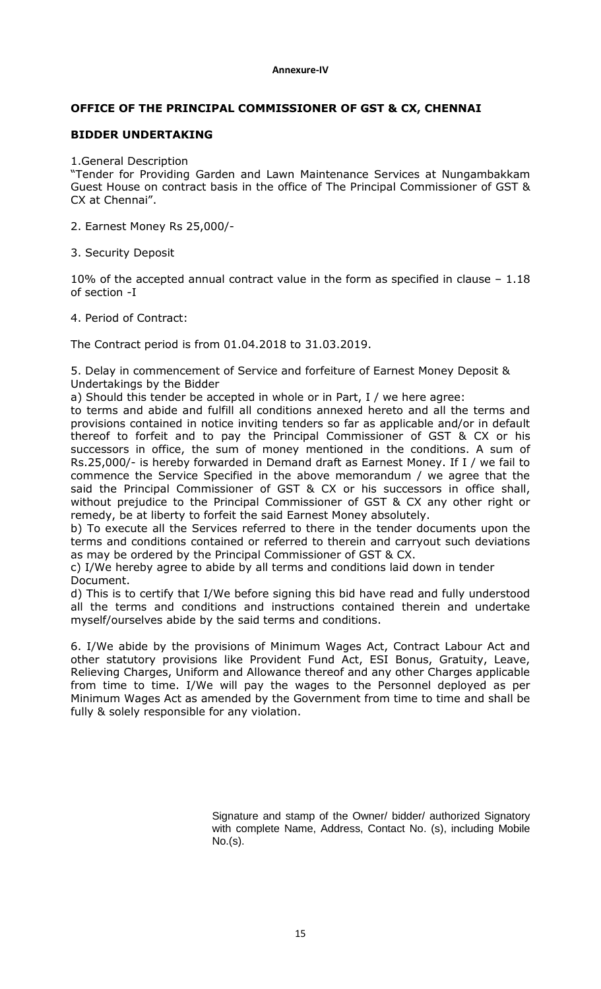# **OFFICE OF THE PRINCIPAL COMMISSIONER OF GST & CX, CHENNAI**

# **BIDDER UNDERTAKING**

1.General Description

"Tender for Providing Garden and Lawn Maintenance Services at Nungambakkam Guest House on contract basis in the office of The Principal Commissioner of GST & CX at Chennai".

- 2. Earnest Money Rs 25,000/-
- 3. Security Deposit

10% of the accepted annual contract value in the form as specified in clause – 1.18 of section -I

4. Period of Contract:

The Contract period is from 01.04.2018 to 31.03.2019.

5. Delay in commencement of Service and forfeiture of Earnest Money Deposit & Undertakings by the Bidder

a) Should this tender be accepted in whole or in Part, I / we here agree:

to terms and abide and fulfill all conditions annexed hereto and all the terms and provisions contained in notice inviting tenders so far as applicable and/or in default thereof to forfeit and to pay the Principal Commissioner of GST & CX or his successors in office, the sum of money mentioned in the conditions. A sum of Rs.25,000/- is hereby forwarded in Demand draft as Earnest Money. If I / we fail to commence the Service Specified in the above memorandum / we agree that the said the Principal Commissioner of GST & CX or his successors in office shall, without prejudice to the Principal Commissioner of GST & CX any other right or remedy, be at liberty to forfeit the said Earnest Money absolutely.

b) To execute all the Services referred to there in the tender documents upon the terms and conditions contained or referred to therein and carryout such deviations as may be ordered by the Principal Commissioner of GST & CX.

c) I/We hereby agree to abide by all terms and conditions laid down in tender Document.

d) This is to certify that I/We before signing this bid have read and fully understood all the terms and conditions and instructions contained therein and undertake myself/ourselves abide by the said terms and conditions.

6. I/We abide by the provisions of Minimum Wages Act, Contract Labour Act and other statutory provisions like Provident Fund Act, ESI Bonus, Gratuity, Leave, Relieving Charges, Uniform and Allowance thereof and any other Charges applicable from time to time. I/We will pay the wages to the Personnel deployed as per Minimum Wages Act as amended by the Government from time to time and shall be fully & solely responsible for any violation.

> Signature and stamp of the Owner/ bidder/ authorized Signatory with complete Name, Address, Contact No. (s), including Mobile No.(s).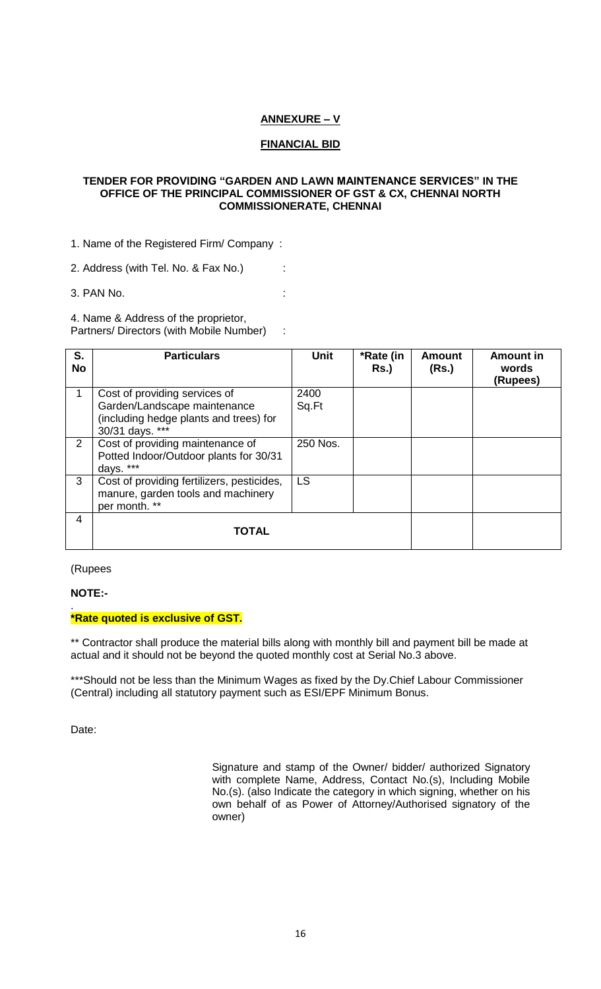# **ANNEXURE – V**

## **FINANCIAL BID**

#### **TENDER FOR PROVIDING "GARDEN AND LAWN MAINTENANCE SERVICES" IN THE OFFICE OF THE PRINCIPAL COMMISSIONER OF GST & CX, CHENNAI NORTH COMMISSIONERATE, CHENNAI**

1. Name of the Registered Firm/ Company :

2. Address (with Tel. No. & Fax No.) :

3. PAN No. :

4. Name & Address of the proprietor,

Partners/ Directors (with Mobile Number) :

| S.<br><b>No</b> | <b>Particulars</b>                                                                                                         | <b>Unit</b>   | *Rate (in<br><b>Rs.)</b> | Amount<br>(Rs.) | <b>Amount in</b><br>words<br>(Rupees) |
|-----------------|----------------------------------------------------------------------------------------------------------------------------|---------------|--------------------------|-----------------|---------------------------------------|
| 1               | Cost of providing services of<br>Garden/Landscape maintenance<br>(including hedge plants and trees) for<br>30/31 days. *** | 2400<br>Sq.Ft |                          |                 |                                       |
| $\overline{2}$  | Cost of providing maintenance of<br>Potted Indoor/Outdoor plants for 30/31<br>***<br>days.                                 | 250 Nos.      |                          |                 |                                       |
| 3               | Cost of providing fertilizers, pesticides,<br>manure, garden tools and machinery<br>per month. **                          | LS            |                          |                 |                                       |
| 4               | <b>TOTAL</b>                                                                                                               |               |                          |                 |                                       |

(Rupees

**NOTE:-**

#### . **\*Rate quoted is exclusive of GST.**

\*\* Contractor shall produce the material bills along with monthly bill and payment bill be made at actual and it should not be beyond the quoted monthly cost at Serial No.3 above.

\*\*\*Should not be less than the Minimum Wages as fixed by the Dy.Chief Labour Commissioner (Central) including all statutory payment such as ESI/EPF Minimum Bonus.

Date:

Signature and stamp of the Owner/ bidder/ authorized Signatory with complete Name, Address, Contact No.(s), Including Mobile No.(s). (also Indicate the category in which signing, whether on his own behalf of as Power of Attorney/Authorised signatory of the owner)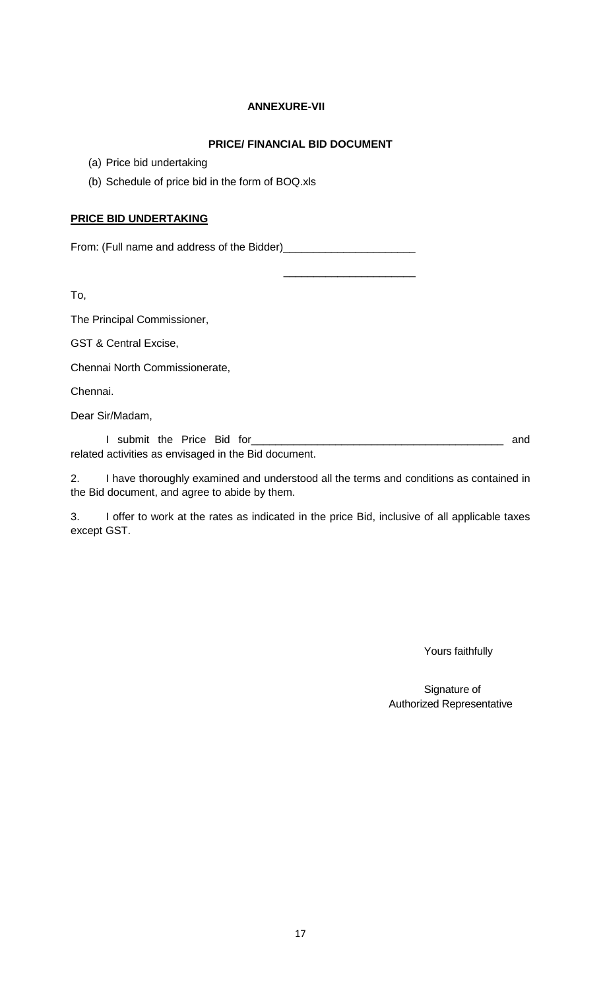# **ANNEXURE-VII**

### **PRICE/ FINANCIAL BID DOCUMENT**

\_\_\_\_\_\_\_\_\_\_\_\_\_\_\_\_\_\_\_\_\_\_

- (a) Price bid undertaking
- (b) Schedule of price bid in the form of BOQ.xls

# **PRICE BID UNDERTAKING**

From: (Full name and address of the Bidder)\_\_\_\_\_\_\_\_\_\_\_\_\_\_\_\_\_\_\_\_\_\_

To,

The Principal Commissioner,

GST & Central Excise,

Chennai North Commissionerate,

Chennai.

Dear Sir/Madam,

I submit the Price Bid for\_\_\_\_\_\_\_\_\_\_\_\_\_\_\_\_\_\_\_\_\_\_\_\_\_\_\_\_\_\_\_\_\_\_\_\_\_\_\_\_\_\_ and related activities as envisaged in the Bid document.

2. I have thoroughly examined and understood all the terms and conditions as contained in the Bid document, and agree to abide by them.

3. I offer to work at the rates as indicated in the price Bid, inclusive of all applicable taxes except GST.

Yours faithfully

Signature of Authorized Representative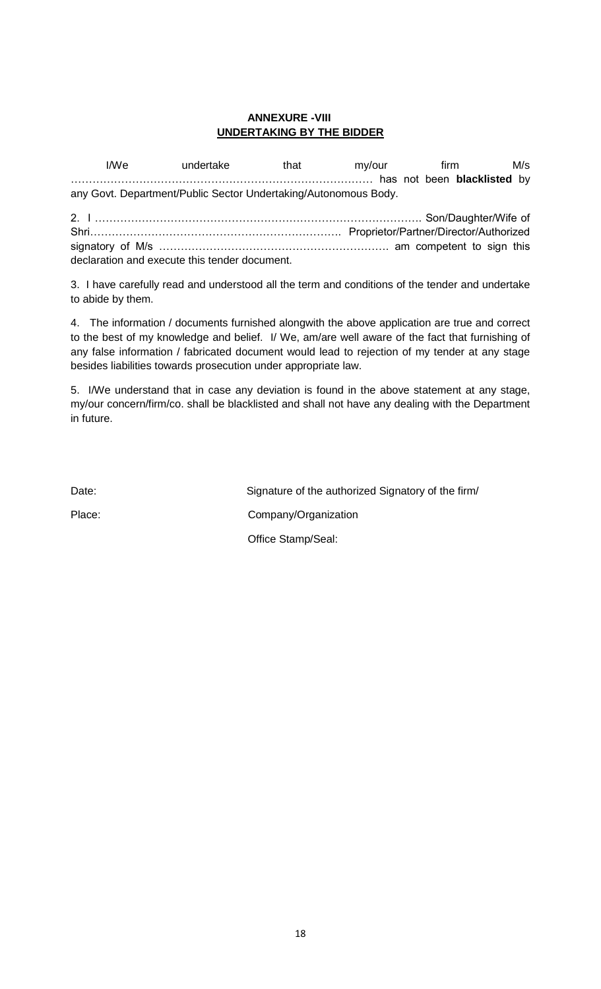# **ANNEXURE -VIII UNDERTAKING BY THE BIDDER**

| I/We | undertake                                                                                                             | that my/our firm M/s |  |  |  |  |
|------|-----------------------------------------------------------------------------------------------------------------------|----------------------|--|--|--|--|
|      | manufactured by the new state of the backlisted by<br>any Govt. Department/Public Sector Undertaking/Autonomous Body. |                      |  |  |  |  |
|      |                                                                                                                       |                      |  |  |  |  |
|      |                                                                                                                       |                      |  |  |  |  |
|      | declaration and execute this tender document.                                                                         |                      |  |  |  |  |

3. I have carefully read and understood all the term and conditions of the tender and undertake to abide by them.

4. The information / documents furnished alongwith the above application are true and correct to the best of my knowledge and belief. I/ We, am/are well aware of the fact that furnishing of any false information / fabricated document would lead to rejection of my tender at any stage besides liabilities towards prosecution under appropriate law.

5. I/We understand that in case any deviation is found in the above statement at any stage, my/our concern/firm/co. shall be blacklisted and shall not have any dealing with the Department in future.

Date: Date: Signature of the authorized Signatory of the firm/ Place: Company/Organization Office Stamp/Seal: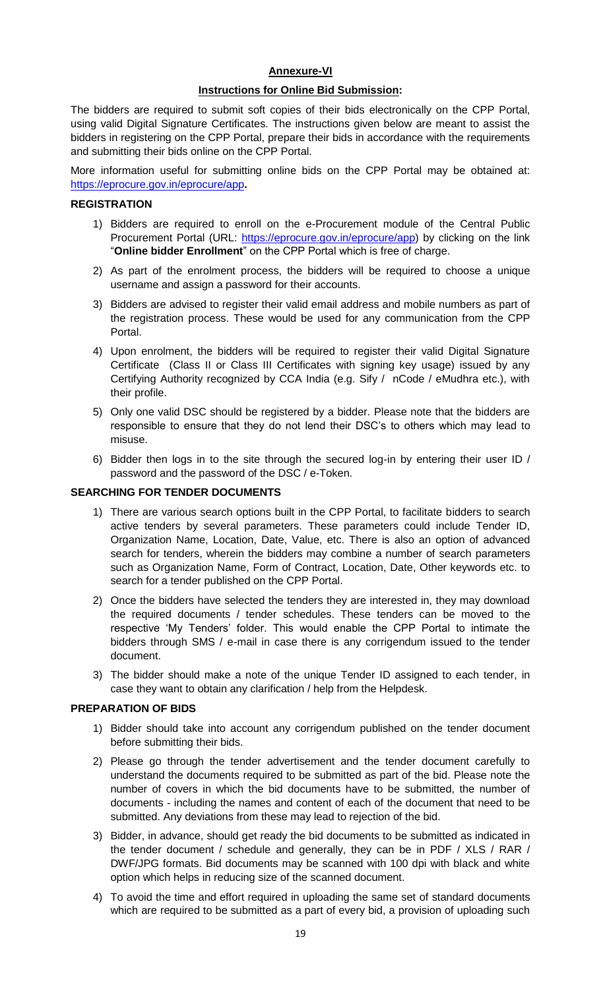# **Annexure-VI**

### **Instructions for Online Bid Submission:**

The bidders are required to submit soft copies of their bids electronically on the CPP Portal, using valid Digital Signature Certificates. The instructions given below are meant to assist the bidders in registering on the CPP Portal, prepare their bids in accordance with the requirements and submitting their bids online on the CPP Portal.

More information useful for submitting online bids on the CPP Portal may be obtained at: <https://eprocure.gov.in/eprocure/app>**.**

#### **REGISTRATION**

- 1) Bidders are required to enroll on the e-Procurement module of the Central Public Procurement Portal (URL: [https://eprocure.gov.in/eprocure/app\)](https://eprocure.gov.in/eprocure/app) by clicking on the link "**Online bidder Enrollment**" on the CPP Portal which is free of charge.
- 2) As part of the enrolment process, the bidders will be required to choose a unique username and assign a password for their accounts.
- 3) Bidders are advised to register their valid email address and mobile numbers as part of the registration process. These would be used for any communication from the CPP Portal.
- 4) Upon enrolment, the bidders will be required to register their valid Digital Signature Certificate (Class II or Class III Certificates with signing key usage) issued by any Certifying Authority recognized by CCA India (e.g. Sify / nCode / eMudhra etc.), with their profile.
- 5) Only one valid DSC should be registered by a bidder. Please note that the bidders are responsible to ensure that they do not lend their DSC"s to others which may lead to misuse.
- 6) Bidder then logs in to the site through the secured log-in by entering their user ID / password and the password of the DSC / e-Token.

#### **SEARCHING FOR TENDER DOCUMENTS**

- 1) There are various search options built in the CPP Portal, to facilitate bidders to search active tenders by several parameters. These parameters could include Tender ID, Organization Name, Location, Date, Value, etc. There is also an option of advanced search for tenders, wherein the bidders may combine a number of search parameters such as Organization Name, Form of Contract, Location, Date, Other keywords etc. to search for a tender published on the CPP Portal.
- 2) Once the bidders have selected the tenders they are interested in, they may download the required documents / tender schedules. These tenders can be moved to the respective "My Tenders" folder. This would enable the CPP Portal to intimate the bidders through SMS / e-mail in case there is any corrigendum issued to the tender document.
- 3) The bidder should make a note of the unique Tender ID assigned to each tender, in case they want to obtain any clarification / help from the Helpdesk.

#### **PREPARATION OF BIDS**

- 1) Bidder should take into account any corrigendum published on the tender document before submitting their bids.
- 2) Please go through the tender advertisement and the tender document carefully to understand the documents required to be submitted as part of the bid. Please note the number of covers in which the bid documents have to be submitted, the number of documents - including the names and content of each of the document that need to be submitted. Any deviations from these may lead to rejection of the bid.
- 3) Bidder, in advance, should get ready the bid documents to be submitted as indicated in the tender document / schedule and generally, they can be in PDF / XLS / RAR / DWF/JPG formats. Bid documents may be scanned with 100 dpi with black and white option which helps in reducing size of the scanned document.
- 4) To avoid the time and effort required in uploading the same set of standard documents which are required to be submitted as a part of every bid, a provision of uploading such